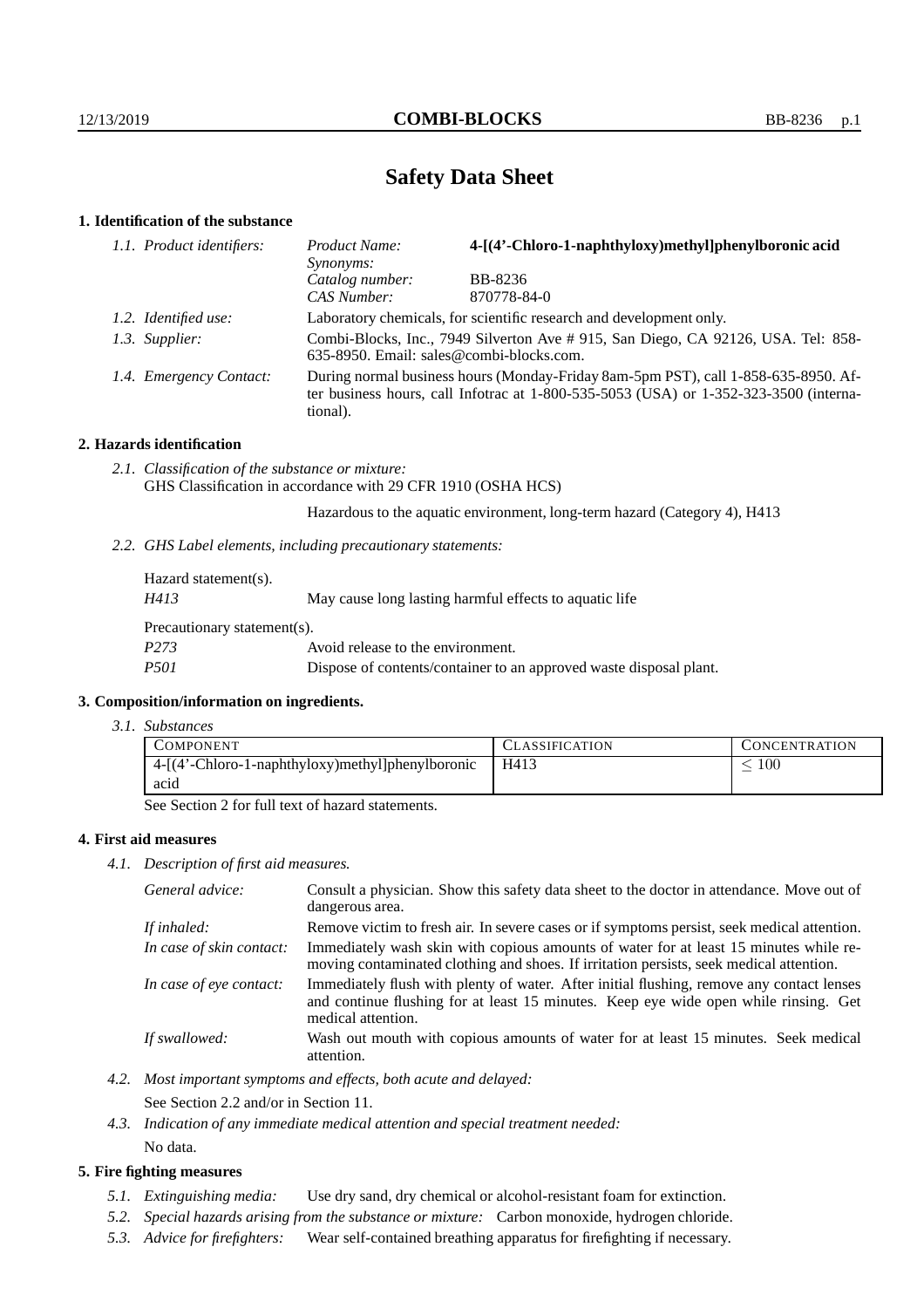# **Safety Data Sheet**

# **1. Identification of the substance**

| 1.1. Product identifiers: | Product Name:<br>Synonyms:                                                                                                                                                                  | 4-[(4'-Chloro-1-naphthyloxy)methyl]phenylboronic acid |
|---------------------------|---------------------------------------------------------------------------------------------------------------------------------------------------------------------------------------------|-------------------------------------------------------|
|                           | Catalog number:                                                                                                                                                                             | BB-8236                                               |
|                           | CAS Number:                                                                                                                                                                                 | 870778-84-0                                           |
| 1.2. Identified use:      | Laboratory chemicals, for scientific research and development only.                                                                                                                         |                                                       |
| 1.3. Supplier:            | Combi-Blocks, Inc., 7949 Silverton Ave #915, San Diego, CA 92126, USA. Tel: 858-<br>635-8950. Email: sales@combi-blocks.com.                                                                |                                                       |
| 1.4. Emergency Contact:   | During normal business hours (Monday-Friday 8am-5pm PST), call 1-858-635-8950. Af-<br>ter business hours, call Infotrac at $1-800-535-5053$ (USA) or $1-352-323-3500$ (interna-<br>tional). |                                                       |

# **2. Hazards identification**

*2.1. Classification of the substance or mixture:* GHS Classification in accordance with 29 CFR 1910 (OSHA HCS)

Hazardous to the aquatic environment, long-term hazard (Category 4), H413

*2.2. GHS Label elements, including precautionary statements:*

| Hazard statement(s).        |                                                                    |  |
|-----------------------------|--------------------------------------------------------------------|--|
| H413                        | May cause long lasting harmful effects to aquatic life             |  |
| Precautionary statement(s). |                                                                    |  |
| P <sub>273</sub>            | Avoid release to the environment.                                  |  |
| <i>P501</i>                 | Dispose of contents/container to an approved waste disposal plant. |  |

#### **3. Composition/information on ingredients.**

*3.1. Substances*

| COMPONENT                                        | CLASSIFICATION | <b>CONCENTRATION</b> |
|--------------------------------------------------|----------------|----------------------|
| 4-[(4'-Chloro-1-naphthyloxy)methyl]phenylboronic | H413           | 100                  |
| acid                                             |                |                      |

See Section 2 for full text of hazard statements.

# **4. First aid measures**

*4.1. Description of first aid measures.*

| General advice:          | Consult a physician. Show this safety data sheet to the doctor in attendance. Move out of<br>dangerous area.                                                                                            |
|--------------------------|---------------------------------------------------------------------------------------------------------------------------------------------------------------------------------------------------------|
| If inhaled:              | Remove victim to fresh air. In severe cases or if symptoms persist, seek medical attention.                                                                                                             |
| In case of skin contact: | Immediately wash skin with copious amounts of water for at least 15 minutes while re-<br>moving contaminated clothing and shoes. If irritation persists, seek medical attention.                        |
| In case of eye contact:  | Immediately flush with plenty of water. After initial flushing, remove any contact lenses<br>and continue flushing for at least 15 minutes. Keep eye wide open while rinsing. Get<br>medical attention. |
| If swallowed:            | Wash out mouth with copious amounts of water for at least 15 minutes. Seek medical<br>attention.                                                                                                        |

- *4.2. Most important symptoms and effects, both acute and delayed:* See Section 2.2 and/or in Section 11.
- *4.3. Indication of any immediate medical attention and special treatment needed:* No data.

# **5. Fire fighting measures**

- *5.1. Extinguishing media:* Use dry sand, dry chemical or alcohol-resistant foam for extinction.
- *5.2. Special hazards arising from the substance or mixture:* Carbon monoxide, hydrogen chloride.
- *5.3. Advice for firefighters:* Wear self-contained breathing apparatus for firefighting if necessary.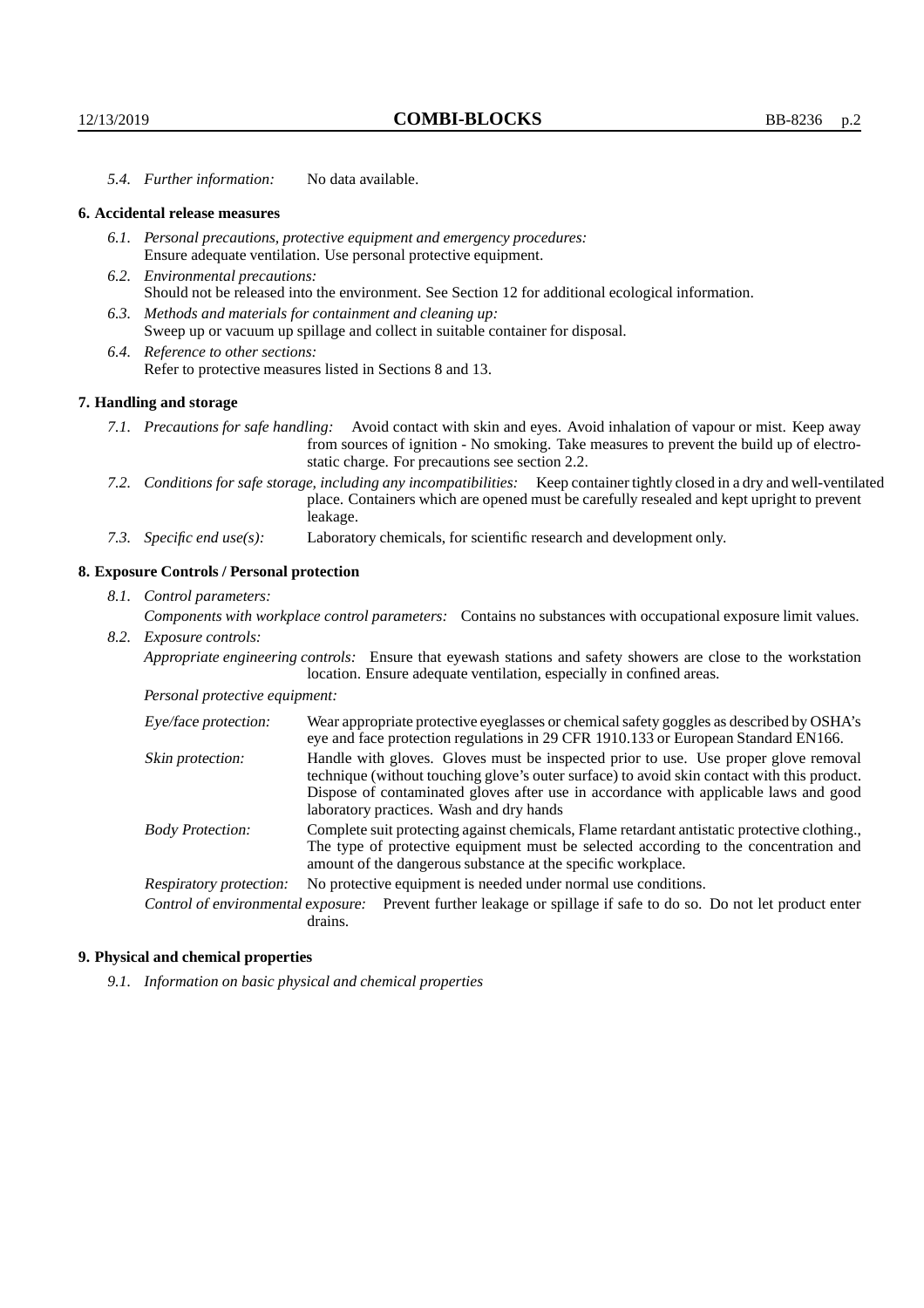*5.4. Further information:* No data available.

#### **6. Accidental release measures**

- *6.1. Personal precautions, protective equipment and emergency procedures:* Ensure adequate ventilation. Use personal protective equipment.
- *6.2. Environmental precautions:* Should not be released into the environment. See Section 12 for additional ecological information.
- *6.3. Methods and materials for containment and cleaning up:* Sweep up or vacuum up spillage and collect in suitable container for disposal.
- *6.4. Reference to other sections:* Refer to protective measures listed in Sections 8 and 13.

# **7. Handling and storage**

- *7.1. Precautions for safe handling:* Avoid contact with skin and eyes. Avoid inhalation of vapour or mist. Keep away from sources of ignition - No smoking. Take measures to prevent the build up of electrostatic charge. For precautions see section 2.2.
- *7.2. Conditions for safe storage, including any incompatibilities:* Keep container tightly closed in a dry and well-ventilated place. Containers which are opened must be carefully resealed and kept upright to prevent leakage.
- *7.3. Specific end use(s):* Laboratory chemicals, for scientific research and development only.

# **8. Exposure Controls / Personal protection**

- *8.1. Control parameters: Components with workplace control parameters:* Contains no substances with occupational exposure limit values.
- *8.2. Exposure controls: Appropriate engineering controls:* Ensure that eyewash stations and safety showers are close to the workstation location. Ensure adequate ventilation, especially in confined areas.

#### *Personal protective equipment:*

| Eye/face protection:    | Wear appropriate protective eyeglasses or chemical safety goggles as described by OSHA's<br>eye and face protection regulations in 29 CFR 1910.133 or European Standard EN166.                                                                                                                                         |  |
|-------------------------|------------------------------------------------------------------------------------------------------------------------------------------------------------------------------------------------------------------------------------------------------------------------------------------------------------------------|--|
| Skin protection:        | Handle with gloves. Gloves must be inspected prior to use. Use proper glove removal<br>technique (without touching glove's outer surface) to avoid skin contact with this product.<br>Dispose of contaminated gloves after use in accordance with applicable laws and good<br>laboratory practices. Wash and dry hands |  |
| <b>Body Protection:</b> | Complete suit protecting against chemicals, Flame retardant antistatic protective clothing.,<br>The type of protective equipment must be selected according to the concentration and<br>amount of the dangerous substance at the specific workplace.                                                                   |  |
| Respiratory protection: | No protective equipment is needed under normal use conditions.                                                                                                                                                                                                                                                         |  |
|                         | Control of environmental exposure: Prevent further leakage or spillage if safe to do so. Do not let product enter<br>drains.                                                                                                                                                                                           |  |

#### **9. Physical and chemical properties**

*9.1. Information on basic physical and chemical properties*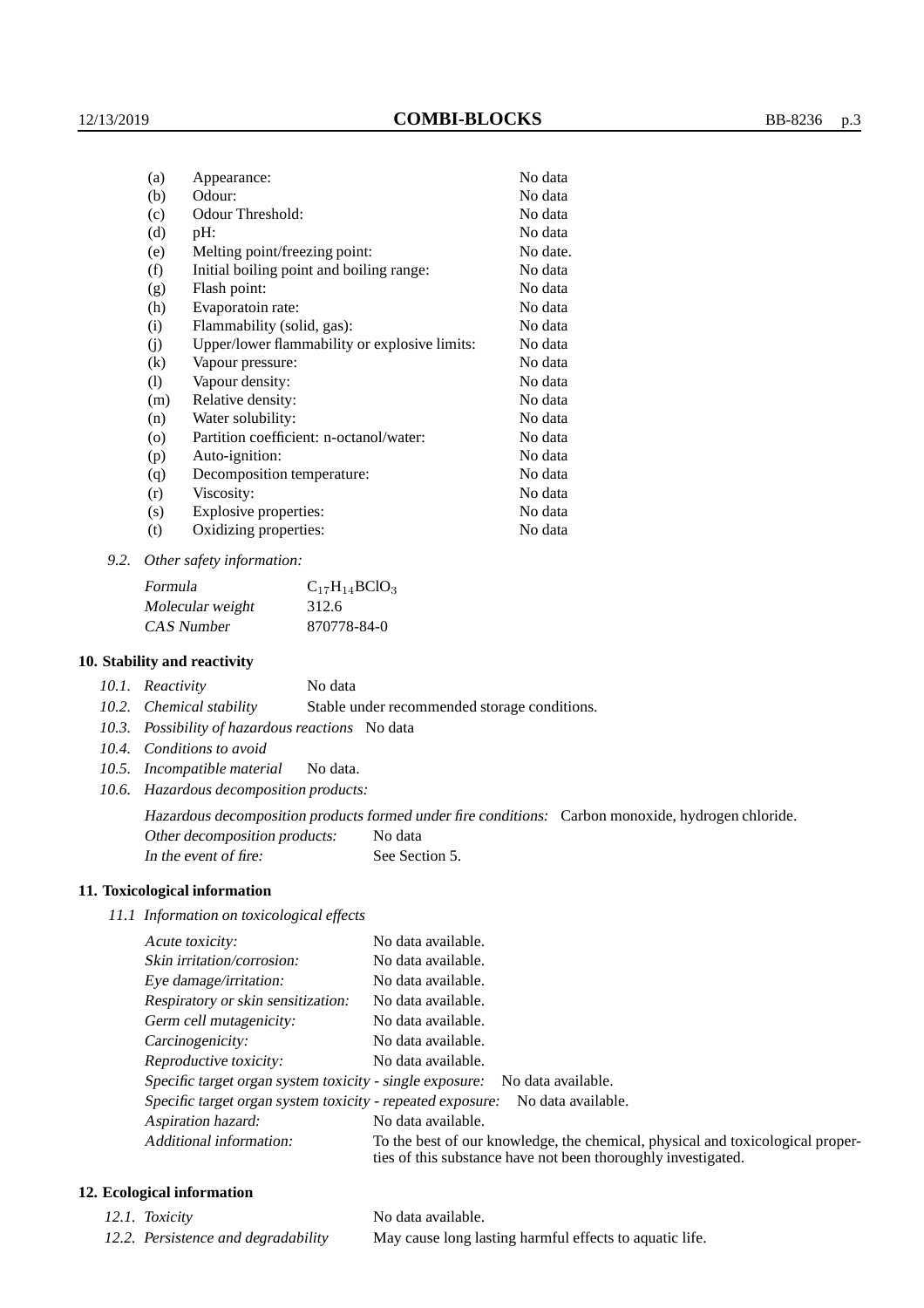| Appearance:                                   | No data  |
|-----------------------------------------------|----------|
| Odour:                                        | No data  |
| Odour Threshold:                              | No data  |
| $pH$ :                                        | No data  |
| Melting point/freezing point:                 | No date. |
| Initial boiling point and boiling range:      | No data  |
| Flash point:                                  | No data  |
| Evaporatoin rate:                             | No data  |
| Flammability (solid, gas):                    | No data  |
| Upper/lower flammability or explosive limits: | No data  |
| Vapour pressure:                              | No data  |
| Vapour density:                               | No data  |
| Relative density:                             | No data  |
| Water solubility:                             | No data  |
| Partition coefficient: n-octanol/water:       | No data  |
| Auto-ignition:                                | No data  |
| Decomposition temperature:                    | No data  |
| Viscosity:                                    | No data  |
| Explosive properties:                         | No data  |
| Oxidizing properties:                         | No data  |
|                                               |          |

*9.2. Other safety information:*

| Formula          | $C_{17}H_{14}BCIO_3$ |
|------------------|----------------------|
| Molecular weight | 312.6                |
| CAS Number       | 870778-84-0          |

### **10. Stability and reactivity**

| 10.1. Reactivity | No data |
|------------------|---------|
|------------------|---------|

*10.2. Chemical stability* Stable under recommended storage conditions.

- *10.3. Possibility of hazardous reactions* No data
- *10.4. Conditions to avoid*
- *10.5. Incompatible material* No data.
- *10.6. Hazardous decomposition products:*

Hazardous decomposition products formed under fire conditions: Carbon monoxide, hydrogen chloride.

Other decomposition products: No data

In the event of fire: See Section 5.

### **11. Toxicological information**

*11.1 Information on toxicological effects*

| Acute toxicity:                                                                                                                                                            | No data available.                                                          |  |
|----------------------------------------------------------------------------------------------------------------------------------------------------------------------------|-----------------------------------------------------------------------------|--|
| Skin irritation/corrosion:                                                                                                                                                 | No data available.                                                          |  |
| Eye damage/irritation:                                                                                                                                                     | No data available.                                                          |  |
| Respiratory or skin sensitization:                                                                                                                                         | No data available.                                                          |  |
| Germ cell mutagenicity:                                                                                                                                                    | No data available.                                                          |  |
| Carcinogenicity:                                                                                                                                                           | No data available.                                                          |  |
| Reproductive toxicity:                                                                                                                                                     | No data available.                                                          |  |
|                                                                                                                                                                            | Specific target organ system toxicity - single exposure: No data available. |  |
| Specific target organ system toxicity - repeated exposure:<br>No data available.                                                                                           |                                                                             |  |
| Aspiration hazard:                                                                                                                                                         | No data available.                                                          |  |
| Additional information:<br>To the best of our knowledge, the chemical, physical and toxicological proper-<br>ties of this substance have not been thoroughly investigated. |                                                                             |  |

# **12. Ecological information**

- -

*12.1. Toxicity* No data available. *12.2. Persistence and degradability* May cause long lasting harmful effects to aquatic life.